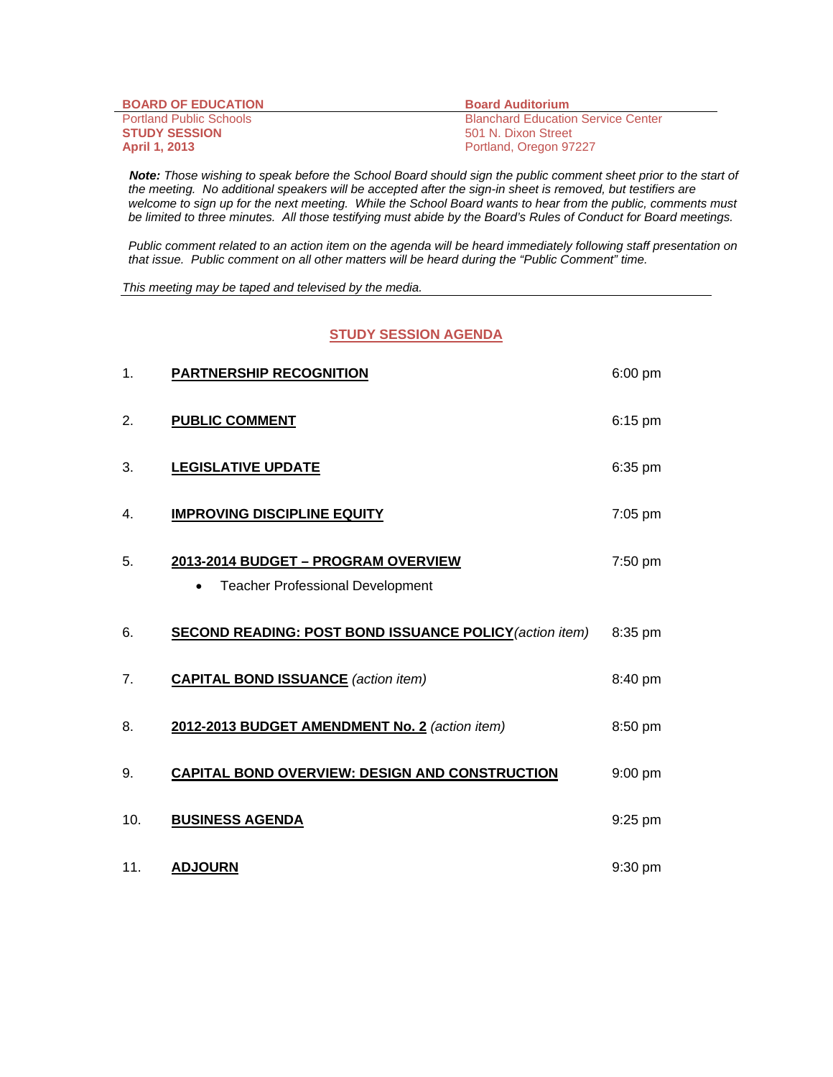| <b>BOARD OF EDUCATION</b>      | <b>Board Auditorium</b>                   |
|--------------------------------|-------------------------------------------|
| <b>Portland Public Schools</b> | <b>Blanchard Education Service Center</b> |
| <b>STUDY SESSION</b>           | 501 N. Dixon Street                       |
| <b>April 1, 2013</b>           | Portland, Oregon 97227                    |

 *Note: Those wishing to speak before the School Board should sign the public comment sheet prior to the start of the meeting. No additional speakers will be accepted after the sign-in sheet is removed, but testifiers are welcome to sign up for the next meeting. While the School Board wants to hear from the public, comments must be limited to three minutes. All those testifying must abide by the Board's Rules of Conduct for Board meetings.* 

 *Public comment related to an action item on the agenda will be heard immediately following staff presentation on that issue. Public comment on all other matters will be heard during the "Public Comment" time.* 

*This meeting may be taped and televised by the media.* 

## **STUDY SESSION AGENDA**

| 1.             | <b>PARTNERSHIP RECOGNITION</b>                                                      | 6:00 pm   |
|----------------|-------------------------------------------------------------------------------------|-----------|
| 2.             | <b>PUBLIC COMMENT</b>                                                               | 6:15 pm   |
| 3.             | <b>LEGISLATIVE UPDATE</b>                                                           | 6:35 pm   |
| 4.             | <b>IMPROVING DISCIPLINE EQUITY</b>                                                  | 7:05 pm   |
| 5.             | 2013-2014 BUDGET - PROGRAM OVERVIEW<br><b>Teacher Professional Development</b><br>٠ | 7:50 pm   |
| 6.             | <b>SECOND READING: POST BOND ISSUANCE POLICY (action item)</b>                      | 8:35 pm   |
| 7 <sub>1</sub> | <b>CAPITAL BOND ISSUANCE</b> (action item)                                          | 8:40 pm   |
| 8.             | 2012-2013 BUDGET AMENDMENT No. 2 (action item)                                      | 8:50 pm   |
| 9.             | <b>CAPITAL BOND OVERVIEW: DESIGN AND CONSTRUCTION</b>                               | 9:00 pm   |
| 10.            | <b>BUSINESS AGENDA</b>                                                              | 9:25 pm   |
| 11.            | <b>ADJOURN</b>                                                                      | $9:30$ pm |